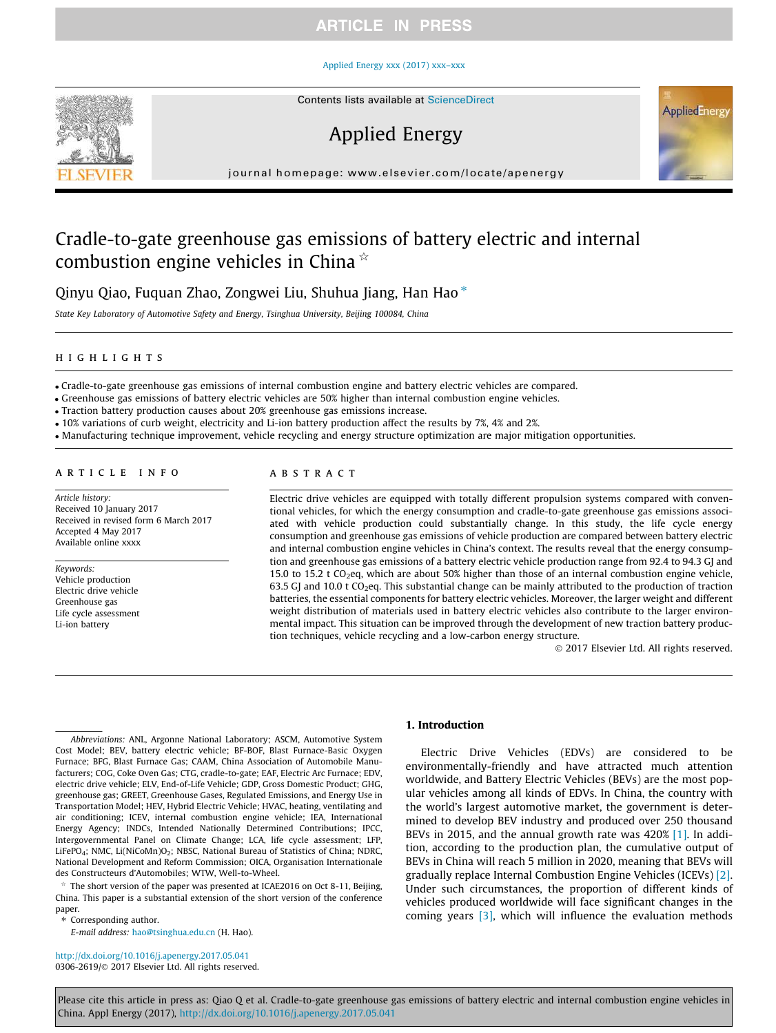### [Applied Energy xxx \(2017\) xxx–xxx](http://dx.doi.org/10.1016/j.apenergy.2017.05.041)



# Applied Energy



journal homepage: [www.elsevier.com/locate/apenergy](http://www.elsevier.com/locate/apenergy)

# Cradle-to-gate greenhouse gas emissions of battery electric and internal combustion engine vehicles in China  $\dot{\alpha}$

Qinyu Qiao, Fuquan Zhao, Zongwei Liu, Shuhua Jiang, Han Hao  $*$ 

State Key Laboratory of Automotive Safety and Energy, Tsinghua University, Beijing 100084, China

# highlights are the second control of the second control of the second control of the second control of the second control of the second control of the second control of the second control of the second control of the secon

Cradle-to-gate greenhouse gas emissions of internal combustion engine and battery electric vehicles are compared.

Greenhouse gas emissions of battery electric vehicles are 50% higher than internal combustion engine vehicles.

Traction battery production causes about 20% greenhouse gas emissions increase.

10% variations of curb weight, electricity and Li-ion battery production affect the results by 7%, 4% and 2%.

Manufacturing technique improvement, vehicle recycling and energy structure optimization are major mitigation opportunities.

# ARTICLE INFO

Article history: Received 10 January 2017 Received in revised form 6 March 2017 Accepted 4 May 2017 Available online xxxx

Keywords: Vehicle production Electric drive vehicle Greenhouse gas Life cycle assessment Li-ion battery

# ABSTRACT

Electric drive vehicles are equipped with totally different propulsion systems compared with conventional vehicles, for which the energy consumption and cradle-to-gate greenhouse gas emissions associated with vehicle production could substantially change. In this study, the life cycle energy consumption and greenhouse gas emissions of vehicle production are compared between battery electric and internal combustion engine vehicles in China's context. The results reveal that the energy consumption and greenhouse gas emissions of a battery electric vehicle production range from 92.4 to 94.3 GJ and 15.0 to 15.2 t CO<sub>2</sub>eq, which are about 50% higher than those of an internal combustion engine vehicle, 63.5 GJ and 10.0 t CO<sub>2</sub>eq. This substantial change can be mainly attributed to the production of traction batteries, the essential components for battery electric vehicles. Moreover, the larger weight and different weight distribution of materials used in battery electric vehicles also contribute to the larger environmental impact. This situation can be improved through the development of new traction battery production techniques, vehicle recycling and a low-carbon energy structure.

2017 Elsevier Ltd. All rights reserved.

Abbreviations: ANL, Argonne National Laboratory; ASCM, Automotive System Cost Model; BEV, battery electric vehicle; BF-BOF, Blast Furnace-Basic Oxygen Furnace; BFG, Blast Furnace Gas; CAAM, China Association of Automobile Manufacturers; COG, Coke Oven Gas; CTG, cradle-to-gate; EAF, Electric Arc Furnace; EDV, electric drive vehicle; ELV, End-of-Life Vehicle; GDP, Gross Domestic Product; GHG, greenhouse gas; GREET, Greenhouse Gases, Regulated Emissions, and Energy Use in Transportation Model; HEV, Hybrid Electric Vehicle; HVAC, heating, ventilating and air conditioning; ICEV, internal combustion engine vehicle; IEA, International Energy Agency; INDCs, Intended Nationally Determined Contributions; IPCC, Intergovernmental Panel on Climate Change; LCA, life cycle assessment; LFP, LiFePO<sub>4</sub>: NMC, Li(NiCoMn)O<sub>2</sub>: NBSC, National Bureau of Statistics of China: NDRC, National Development and Reform Commission; OICA, Organisation Internationale des Constructeurs d'Automobiles; WTW, Well-to-Wheel.

The short version of the paper was presented at ICAE2016 on Oct 8-11, Beijing, China. This paper is a substantial extension of the short version of the conference paper.

#### ⇑ Corresponding author.

E-mail address: [hao@tsinghua.edu.cn](mailto:hao@tsinghua.edu.cn) (H. Hao).

<http://dx.doi.org/10.1016/j.apenergy.2017.05.041> 0306-2619/© 2017 Elsevier Ltd. All rights reserved.

### 1. Introduction

Electric Drive Vehicles (EDVs) are considered to be environmentally-friendly and have attracted much attention worldwide, and Battery Electric Vehicles (BEVs) are the most popular vehicles among all kinds of EDVs. In China, the country with the world's largest automotive market, the government is determined to develop BEV industry and produced over 250 thousand BEVs in 2015, and the annual growth rate was 420% [\[1\]](#page-11-0). In addition, according to the production plan, the cumulative output of BEVs in China will reach 5 million in 2020, meaning that BEVs will gradually replace Internal Combustion Engine Vehicles (ICEVs) [\[2\].](#page-11-0) Under such circumstances, the proportion of different kinds of vehicles produced worldwide will face significant changes in the coming years [\[3\]](#page-11-0), which will influence the evaluation methods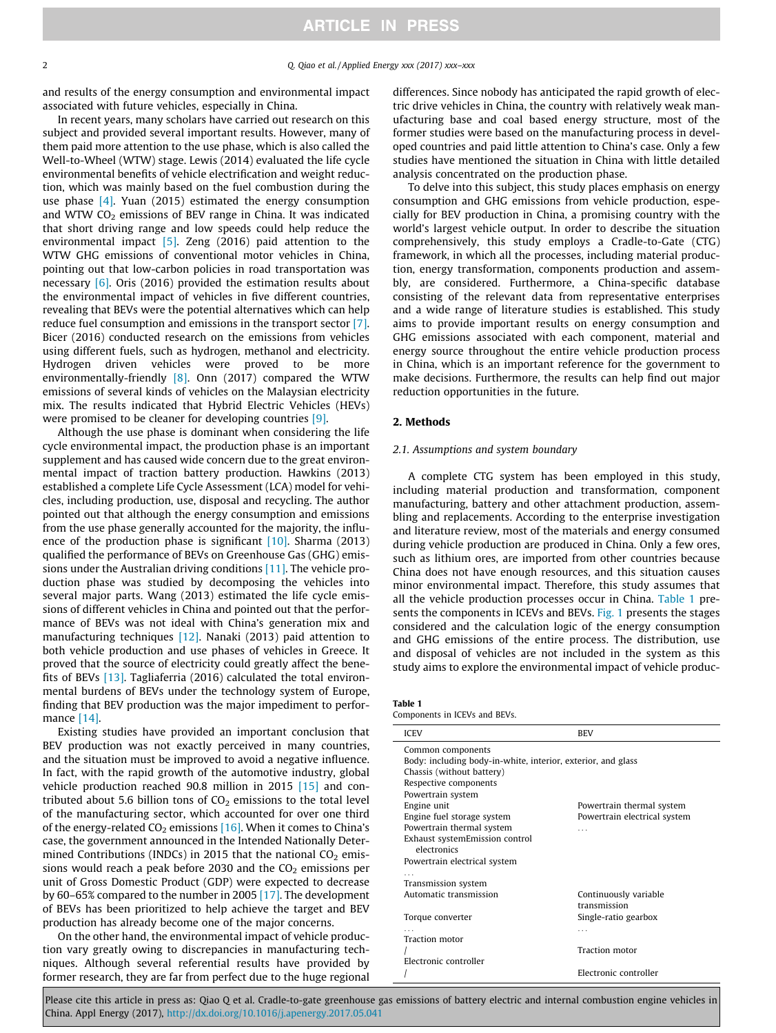<span id="page-1-0"></span>and results of the energy consumption and environmental impact associated with future vehicles, especially in China.

In recent years, many scholars have carried out research on this subject and provided several important results. However, many of them paid more attention to the use phase, which is also called the Well-to-Wheel (WTW) stage. Lewis (2014) evaluated the life cycle environmental benefits of vehicle electrification and weight reduction, which was mainly based on the fuel combustion during the use phase  $[4]$ . Yuan (2015) estimated the energy consumption and WTW  $CO<sub>2</sub>$  emissions of BEV range in China. It was indicated that short driving range and low speeds could help reduce the environmental impact [\[5\].](#page-11-0) Zeng (2016) paid attention to the WTW GHG emissions of conventional motor vehicles in China, pointing out that low-carbon policies in road transportation was necessary [\[6\].](#page-11-0) Oris (2016) provided the estimation results about the environmental impact of vehicles in five different countries, revealing that BEVs were the potential alternatives which can help reduce fuel consumption and emissions in the transport sector [\[7\].](#page-11-0) Bicer (2016) conducted research on the emissions from vehicles using different fuels, such as hydrogen, methanol and electricity. Hydrogen driven vehicles were proved to be more environmentally-friendly [\[8\].](#page-11-0) Onn (2017) compared the WTW emissions of several kinds of vehicles on the Malaysian electricity mix. The results indicated that Hybrid Electric Vehicles (HEVs) were promised to be cleaner for developing countries [\[9\]](#page-11-0).

Although the use phase is dominant when considering the life cycle environmental impact, the production phase is an important supplement and has caused wide concern due to the great environmental impact of traction battery production. Hawkins (2013) established a complete Life Cycle Assessment (LCA) model for vehicles, including production, use, disposal and recycling. The author pointed out that although the energy consumption and emissions from the use phase generally accounted for the majority, the influence of the production phase is significant [\[10\].](#page-11-0) Sharma (2013) qualified the performance of BEVs on Greenhouse Gas (GHG) emissions under the Australian driving conditions [\[11\]](#page-11-0). The vehicle production phase was studied by decomposing the vehicles into several major parts. Wang (2013) estimated the life cycle emissions of different vehicles in China and pointed out that the performance of BEVs was not ideal with China's generation mix and manufacturing techniques [\[12\].](#page-11-0) Nanaki (2013) paid attention to both vehicle production and use phases of vehicles in Greece. It proved that the source of electricity could greatly affect the benefits of BEVs [\[13\]](#page-11-0). Tagliaferria (2016) calculated the total environmental burdens of BEVs under the technology system of Europe, finding that BEV production was the major impediment to performance [\[14\].](#page-11-0)

Existing studies have provided an important conclusion that BEV production was not exactly perceived in many countries, and the situation must be improved to avoid a negative influence. In fact, with the rapid growth of the automotive industry, global vehicle production reached 90.8 million in 2015 [\[15\]](#page-11-0) and contributed about 5.6 billion tons of  $CO<sub>2</sub>$  emissions to the total level of the manufacturing sector, which accounted for over one third of the energy-related  $CO<sub>2</sub>$  emissions [\[16\].](#page-11-0) When it comes to China's case, the government announced in the Intended Nationally Determined Contributions (INDCs) in 2015 that the national  $CO<sub>2</sub>$  emissions would reach a peak before 2030 and the  $CO<sub>2</sub>$  emissions per unit of Gross Domestic Product (GDP) were expected to decrease by 60–65% compared to the number in 2005 [\[17\].](#page-11-0) The development of BEVs has been prioritized to help achieve the target and BEV production has already become one of the major concerns.

On the other hand, the environmental impact of vehicle production vary greatly owing to discrepancies in manufacturing techniques. Although several referential results have provided by former research, they are far from perfect due to the huge regional differences. Since nobody has anticipated the rapid growth of electric drive vehicles in China, the country with relatively weak manufacturing base and coal based energy structure, most of the former studies were based on the manufacturing process in developed countries and paid little attention to China's case. Only a few studies have mentioned the situation in China with little detailed analysis concentrated on the production phase.

To delve into this subject, this study places emphasis on energy consumption and GHG emissions from vehicle production, especially for BEV production in China, a promising country with the world's largest vehicle output. In order to describe the situation comprehensively, this study employs a Cradle-to-Gate (CTG) framework, in which all the processes, including material production, energy transformation, components production and assembly, are considered. Furthermore, a China-specific database consisting of the relevant data from representative enterprises and a wide range of literature studies is established. This study aims to provide important results on energy consumption and GHG emissions associated with each component, material and energy source throughout the entire vehicle production process in China, which is an important reference for the government to make decisions. Furthermore, the results can help find out major reduction opportunities in the future.

### 2. Methods

#### 2.1. Assumptions and system boundary

A complete CTG system has been employed in this study, including material production and transformation, component manufacturing, battery and other attachment production, assembling and replacements. According to the enterprise investigation and literature review, most of the materials and energy consumed during vehicle production are produced in China. Only a few ores, such as lithium ores, are imported from other countries because China does not have enough resources, and this situation causes minor environmental impact. Therefore, this study assumes that all the vehicle production processes occur in China. Table 1 presents the components in ICEVs and BEVs. [Fig. 1](#page-2-0) presents the stages considered and the calculation logic of the energy consumption and GHG emissions of the entire process. The distribution, use and disposal of vehicles are not included in the system as this study aims to explore the environmental impact of vehicle produc-

| Table 1                       |  |  |
|-------------------------------|--|--|
| Components in ICEVs and BEVs. |  |  |

| <b>ICEV</b>                                                  | <b>BEV</b>                            |  |  |  |  |  |  |
|--------------------------------------------------------------|---------------------------------------|--|--|--|--|--|--|
| Common components                                            |                                       |  |  |  |  |  |  |
| Body: including body-in-white, interior, exterior, and glass |                                       |  |  |  |  |  |  |
| Chassis (without battery)                                    |                                       |  |  |  |  |  |  |
| Respective components                                        |                                       |  |  |  |  |  |  |
| Powertrain system                                            |                                       |  |  |  |  |  |  |
| Engine unit                                                  | Powertrain thermal system             |  |  |  |  |  |  |
| Engine fuel storage system                                   | Powertrain electrical system          |  |  |  |  |  |  |
| Powertrain thermal system                                    | .                                     |  |  |  |  |  |  |
| Exhaust systemEmission control                               |                                       |  |  |  |  |  |  |
| electronics                                                  |                                       |  |  |  |  |  |  |
| Powertrain electrical system                                 |                                       |  |  |  |  |  |  |
| .                                                            |                                       |  |  |  |  |  |  |
| Transmission system<br>Automatic transmission                |                                       |  |  |  |  |  |  |
|                                                              | Continuously variable<br>transmission |  |  |  |  |  |  |
|                                                              |                                       |  |  |  |  |  |  |
| Torque converter                                             | Single-ratio gearbox                  |  |  |  |  |  |  |
|                                                              | .                                     |  |  |  |  |  |  |
| Traction motor                                               |                                       |  |  |  |  |  |  |
|                                                              | <b>Traction motor</b>                 |  |  |  |  |  |  |
| Electronic controller                                        |                                       |  |  |  |  |  |  |
|                                                              | Electronic controller                 |  |  |  |  |  |  |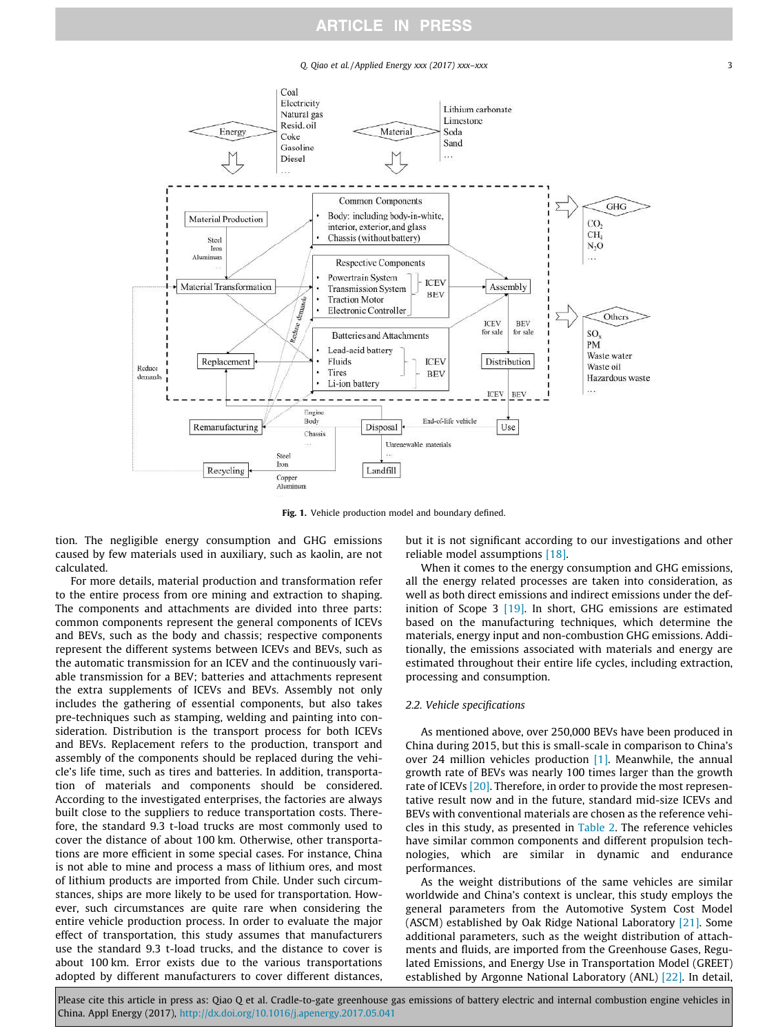# Q. Qiao et al. / Applied Energy xxx (2017) xxx–xxx 3

<span id="page-2-0"></span>

Fig. 1. Vehicle production model and boundary defined.

tion. The negligible energy consumption and GHG emissions caused by few materials used in auxiliary, such as kaolin, are not calculated.

For more details, material production and transformation refer to the entire process from ore mining and extraction to shaping. The components and attachments are divided into three parts: common components represent the general components of ICEVs and BEVs, such as the body and chassis; respective components represent the different systems between ICEVs and BEVs, such as the automatic transmission for an ICEV and the continuously variable transmission for a BEV; batteries and attachments represent the extra supplements of ICEVs and BEVs. Assembly not only includes the gathering of essential components, but also takes pre-techniques such as stamping, welding and painting into consideration. Distribution is the transport process for both ICEVs and BEVs. Replacement refers to the production, transport and assembly of the components should be replaced during the vehicle's life time, such as tires and batteries. In addition, transportation of materials and components should be considered. According to the investigated enterprises, the factories are always built close to the suppliers to reduce transportation costs. Therefore, the standard 9.3 t-load trucks are most commonly used to cover the distance of about 100 km. Otherwise, other transportations are more efficient in some special cases. For instance, China is not able to mine and process a mass of lithium ores, and most of lithium products are imported from Chile. Under such circumstances, ships are more likely to be used for transportation. However, such circumstances are quite rare when considering the entire vehicle production process. In order to evaluate the major effect of transportation, this study assumes that manufacturers use the standard 9.3 t-load trucks, and the distance to cover is about 100 km. Error exists due to the various transportations adopted by different manufacturers to cover different distances, but it is not significant according to our investigations and other reliable model assumptions [\[18\].](#page-11-0)

When it comes to the energy consumption and GHG emissions, all the energy related processes are taken into consideration, as well as both direct emissions and indirect emissions under the definition of Scope 3 [\[19\].](#page-11-0) In short, GHG emissions are estimated based on the manufacturing techniques, which determine the materials, energy input and non-combustion GHG emissions. Additionally, the emissions associated with materials and energy are estimated throughout their entire life cycles, including extraction, processing and consumption.

# 2.2. Vehicle specifications

As mentioned above, over 250,000 BEVs have been produced in China during 2015, but this is small-scale in comparison to China's over 24 million vehicles production [\[1\].](#page-11-0) Meanwhile, the annual growth rate of BEVs was nearly 100 times larger than the growth rate of ICEVs [\[20\].](#page-11-0) Therefore, in order to provide the most representative result now and in the future, standard mid-size ICEVs and BEVs with conventional materials are chosen as the reference vehicles in this study, as presented in [Table 2](#page-3-0). The reference vehicles have similar common components and different propulsion technologies, which are similar in dynamic and endurance performances.

As the weight distributions of the same vehicles are similar worldwide and China's context is unclear, this study employs the general parameters from the Automotive System Cost Model (ASCM) established by Oak Ridge National Laboratory [\[21\].](#page-11-0) Some additional parameters, such as the weight distribution of attachments and fluids, are imported from the Greenhouse Gases, Regulated Emissions, and Energy Use in Transportation Model (GREET) established by Argonne National Laboratory (ANL) [\[22\].](#page-11-0) In detail,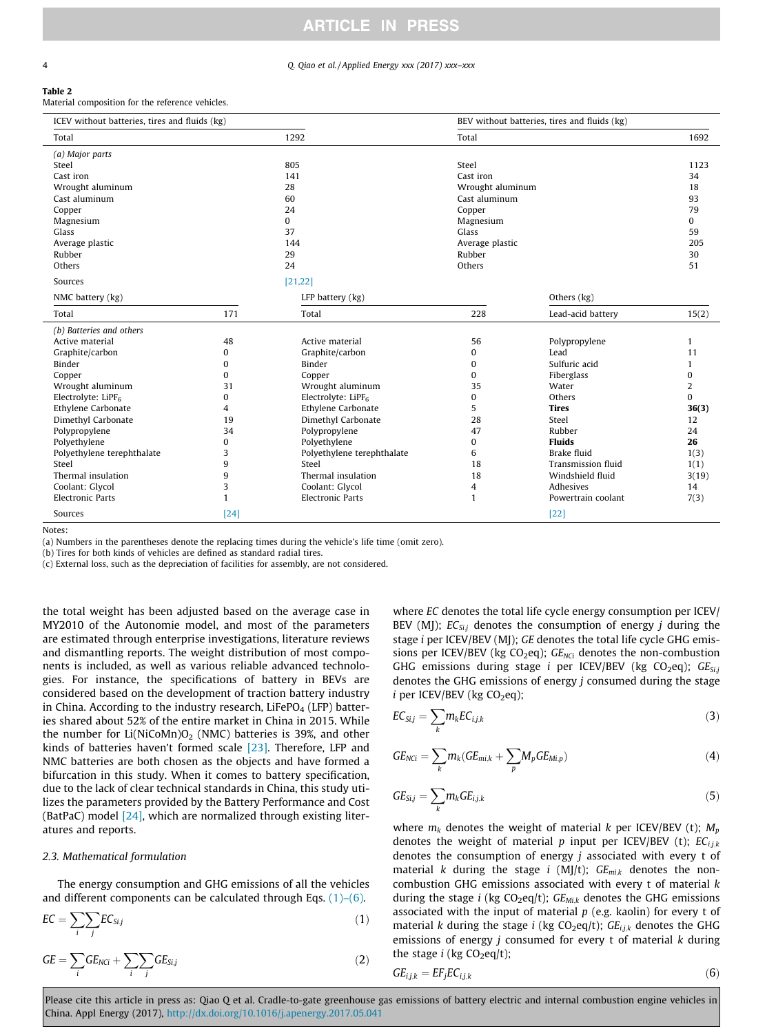### <span id="page-3-0"></span>4 Q. Qiao et al. / Applied Energy xxx (2017) xxx–xxx

#### Table 2

Material composition for the reference vehicles.

| ICEV without batteries, tires and fluids (kg) |              |                                | BEV without batteries, tires and fluids (kg) |                    |                |  |
|-----------------------------------------------|--------------|--------------------------------|----------------------------------------------|--------------------|----------------|--|
| Total                                         |              | 1292                           | Total                                        |                    | 1692           |  |
| (a) Major parts                               |              |                                |                                              |                    |                |  |
| Steel                                         |              | 805                            | Steel                                        |                    | 1123           |  |
| Cast iron                                     |              | 141                            | Cast iron                                    |                    | 34             |  |
| Wrought aluminum                              |              | 28                             | Wrought aluminum                             |                    | 18             |  |
| Cast aluminum                                 |              | 60                             | Cast aluminum                                |                    | 93             |  |
| Copper                                        |              | 24                             | Copper                                       |                    | 79             |  |
| Magnesium                                     |              | $\Omega$                       | Magnesium                                    |                    | $\Omega$       |  |
| Glass                                         |              | 37                             | Glass                                        |                    | 59             |  |
| Average plastic                               |              | 144                            | Average plastic                              |                    | 205            |  |
| Rubber                                        |              | 29                             | Rubber                                       |                    | 30             |  |
| Others                                        |              | 24                             | Others                                       |                    | 51             |  |
| Sources                                       |              | [21, 22]                       |                                              |                    |                |  |
| NMC battery (kg)                              |              | LFP battery (kg)               |                                              | Others (kg)        |                |  |
| Total                                         | 171          | Total                          | 228                                          | Lead-acid battery  | 15(2)          |  |
| (b) Batteries and others                      |              |                                |                                              |                    |                |  |
| Active material                               | 48           | Active material                | 56                                           | Polypropylene      | 1              |  |
| Graphite/carbon                               | 0            | Graphite/carbon                | 0                                            | Lead               | 11             |  |
| Binder                                        | 0            | Binder                         | 0                                            | Sulfuric acid      | 1              |  |
| Copper                                        | 0            | Copper                         | 0                                            | Fiberglass         | 0              |  |
| Wrought aluminum                              | 31           | Wrought aluminum               | 35                                           | Water              | $\overline{2}$ |  |
| Electrolyte: LiPF <sub>6</sub>                | 0            | Electrolyte: LiPF <sub>6</sub> | 0                                            | Others             | $\Omega$       |  |
| Ethylene Carbonate                            | 4            | Ethylene Carbonate             | 5                                            | <b>Tires</b>       | 36(3)          |  |
| Dimethyl Carbonate                            | 19           | Dimethyl Carbonate             | 28                                           | Steel              | 12             |  |
| Polypropylene                                 | 34           | Polypropylene                  | 47                                           | Rubber             | 24             |  |
| Polyethylene                                  | 0            | Polyethylene                   | 0                                            | <b>Fluids</b>      | 26             |  |
| Polyethylene terephthalate                    | 3            | Polyethylene terephthalate     | 6                                            | <b>Brake fluid</b> | 1(3)           |  |
| Steel                                         | 9            | Steel                          | 18                                           | Transmission fluid | 1(1)           |  |
| Thermal insulation                            | 9            | Thermal insulation             | 18                                           | Windshield fluid   | 3(19)          |  |
| Coolant: Glycol                               | 3            | Coolant: Glycol                | 4                                            | Adhesives          | 14             |  |
| <b>Electronic Parts</b>                       | $\mathbf{1}$ | <b>Electronic Parts</b>        | $\mathbf{1}$                                 | Powertrain coolant | 7(3)           |  |
| Sources                                       | $[24]$       |                                |                                              | $[22]$             |                |  |

Notes:

(a) Numbers in the parentheses denote the replacing times during the vehicle's life time (omit zero).

(b) Tires for both kinds of vehicles are defined as standard radial tires.

(c) External loss, such as the depreciation of facilities for assembly, are not considered.

the total weight has been adjusted based on the average case in MY2010 of the Autonomie model, and most of the parameters are estimated through enterprise investigations, literature reviews and dismantling reports. The weight distribution of most components is included, as well as various reliable advanced technologies. For instance, the specifications of battery in BEVs are considered based on the development of traction battery industry in China. According to the industry research, LiFePO<sub>4</sub> (LFP) batteries shared about 52% of the entire market in China in 2015. While the number for  $Li(NiCoMn)O<sub>2</sub>$  (NMC) batteries is 39%, and other kinds of batteries haven't formed scale [\[23\]](#page-11-0). Therefore, LFP and NMC batteries are both chosen as the objects and have formed a bifurcation in this study. When it comes to battery specification, due to the lack of clear technical standards in China, this study utilizes the parameters provided by the Battery Performance and Cost (BatPaC) model [\[24\]](#page-11-0), which are normalized through existing literatures and reports.

### 2.3. Mathematical formulation

The energy consumption and GHG emissions of all the vehicles and different components can be calculated through Eqs.  $(1)$ – $(6)$ .

$$
EC = \sum_{i} \sum_{j} EC_{Si,j} \tag{1}
$$

$$
GE = \sum_{i} GE_{NGi} + \sum_{i} \sum_{j} GE_{Si,j}
$$
 (2)

where EC denotes the total life cycle energy consumption per ICEV/ BEV (MJ);  $EC_{Si,j}$  denotes the consumption of energy j during the stage i per ICEV/BEV (MJ); GE denotes the total life cycle GHG emissions per ICEV/BEV (kg CO<sub>2</sub>eq);  $GE_{NCi}$  denotes the non-combustion GHG emissions during stage *i* per ICEV/BEV (kg CO<sub>2</sub>eq);  $GE_{Si,j}$ denotes the GHG emissions of energy j consumed during the stage  $i$  per ICEV/BEV (kg CO<sub>2</sub>eq);

$$
EC_{Si,j} = \sum_{k} m_k EC_{i,j,k}
$$
 (3)

$$
GE_{NGi} = \sum_{k} m_k (GE_{mi,k} + \sum_{p} M_p GE_{Mi,p})
$$
\n(4)

$$
GE_{Si,j} = \sum_{k} m_k GE_{i,j,k} \tag{5}
$$

where  $m_k$  denotes the weight of material k per ICEV/BEV (t);  $M_p$ denotes the weight of material  $p$  input per ICEV/BEV (t);  $EC_{i,j,k}$ denotes the consumption of energy  $j$  associated with every  $t$  of material k during the stage i (MJ/t);  $GE_{mi,k}$  denotes the noncombustion GHG emissions associated with every t of material k during the stage i (kg  $CO<sub>2</sub>eq/t$ );  $GE<sub>Mik</sub>$  denotes the GHG emissions associated with the input of material  $p$  (e.g. kaolin) for every t of material k during the stage i (kg  $CO<sub>2</sub>eq/t$ );  $GE<sub>i,i,k</sub>$  denotes the GHG emissions of energy  $j$  consumed for every t of material  $k$  during the stage  $i$  (kg CO<sub>2</sub>eq/t);

$$
GE_{i,j,k} = EF_j EC_{i,j,k} \tag{6}
$$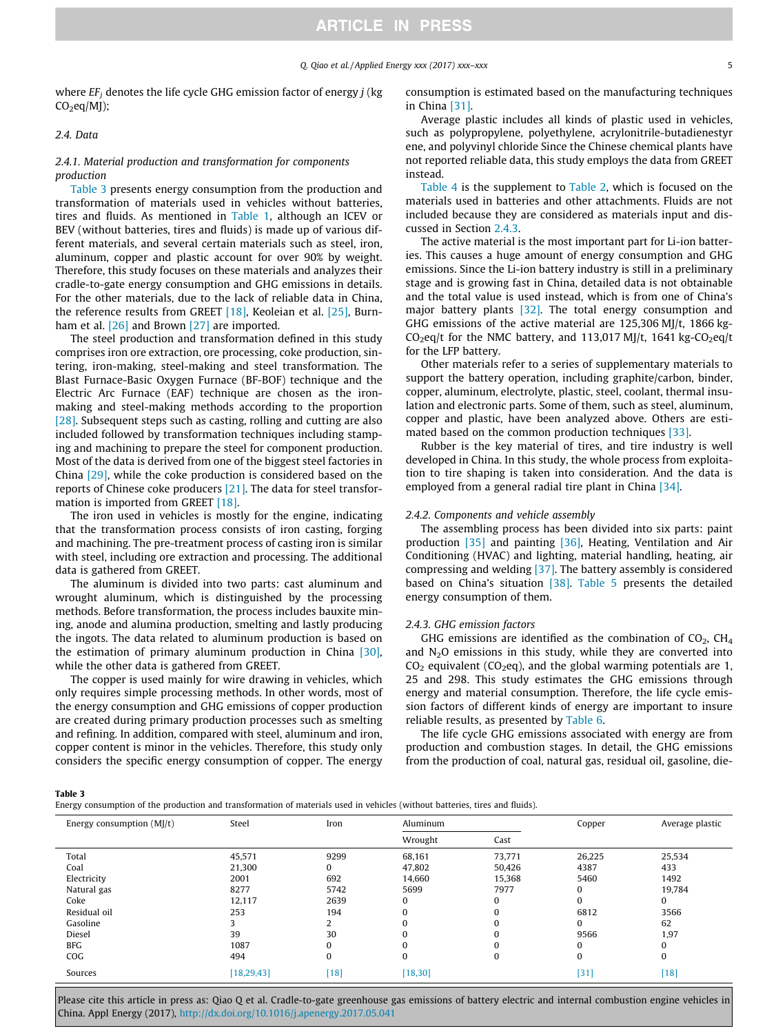where  $EF_i$  denotes the life cycle GHG emission factor of energy  $j$  (kg  $CO<sub>2</sub>eq/MI);$ 

# 2.4. Data

# 2.4.1. Material production and transformation for components production

[Table 3](#page-3-0) presents energy consumption from the production and transformation of materials used in vehicles without batteries, tires and fluids. As mentioned in [Table 1](#page-1-0), although an ICEV or BEV (without batteries, tires and fluids) is made up of various different materials, and several certain materials such as steel, iron, aluminum, copper and plastic account for over 90% by weight. Therefore, this study focuses on these materials and analyzes their cradle-to-gate energy consumption and GHG emissions in details. For the other materials, due to the lack of reliable data in China, the reference results from GREET [\[18\]](#page-11-0), Keoleian et al. [\[25\]](#page-11-0), Burn-ham et al. [\[26\]](#page-11-0) and Brown [\[27\]](#page-11-0) are imported.

The steel production and transformation defined in this study comprises iron ore extraction, ore processing, coke production, sintering, iron-making, steel-making and steel transformation. The Blast Furnace-Basic Oxygen Furnace (BF-BOF) technique and the Electric Arc Furnace (EAF) technique are chosen as the ironmaking and steel-making methods according to the proportion [\[28\].](#page-11-0) Subsequent steps such as casting, rolling and cutting are also included followed by transformation techniques including stamping and machining to prepare the steel for component production. Most of the data is derived from one of the biggest steel factories in China [\[29\]](#page-11-0), while the coke production is considered based on the reports of Chinese coke producers [\[21\]](#page-11-0). The data for steel transformation is imported from GREET [\[18\]](#page-11-0).

The iron used in vehicles is mostly for the engine, indicating that the transformation process consists of iron casting, forging and machining. The pre-treatment process of casting iron is similar with steel, including ore extraction and processing. The additional data is gathered from GREET.

The aluminum is divided into two parts: cast aluminum and wrought aluminum, which is distinguished by the processing methods. Before transformation, the process includes bauxite mining, anode and alumina production, smelting and lastly producing the ingots. The data related to aluminum production is based on the estimation of primary aluminum production in China [\[30\],](#page-11-0) while the other data is gathered from GREET.

The copper is used mainly for wire drawing in vehicles, which only requires simple processing methods. In other words, most of the energy consumption and GHG emissions of copper production are created during primary production processes such as smelting and refining. In addition, compared with steel, aluminum and iron, copper content is minor in the vehicles. Therefore, this study only considers the specific energy consumption of copper. The energy consumption is estimated based on the manufacturing techniques in China [\[31\]](#page-11-0).

Average plastic includes all kinds of plastic used in vehicles, such as polypropylene, polyethylene, acrylonitrile-butadienestyr ene, and polyvinyl chloride Since the Chinese chemical plants have not reported reliable data, this study employs the data from GREET instead.

[Table 4](#page-5-0) is the supplement to [Table 2,](#page-3-0) which is focused on the materials used in batteries and other attachments. Fluids are not included because they are considered as materials input and discussed in Section 2.4.3.

The active material is the most important part for Li-ion batteries. This causes a huge amount of energy consumption and GHG emissions. Since the Li-ion battery industry is still in a preliminary stage and is growing fast in China, detailed data is not obtainable and the total value is used instead, which is from one of China's major battery plants [\[32\].](#page-11-0) The total energy consumption and GHG emissions of the active material are 125,306 MJ/t, 1866 kg- $CO<sub>2</sub>$ eq/t for the NMC battery, and 113,017 MJ/t, 1641 kg-CO<sub>2</sub>eq/t for the LFP battery.

Other materials refer to a series of supplementary materials to support the battery operation, including graphite/carbon, binder, copper, aluminum, electrolyte, plastic, steel, coolant, thermal insulation and electronic parts. Some of them, such as steel, aluminum, copper and plastic, have been analyzed above. Others are estimated based on the common production techniques [\[33\]](#page-11-0).

Rubber is the key material of tires, and tire industry is well developed in China. In this study, the whole process from exploitation to tire shaping is taken into consideration. And the data is employed from a general radial tire plant in China [\[34\].](#page-11-0)

#### 2.4.2. Components and vehicle assembly

The assembling process has been divided into six parts: paint production [\[35\]](#page-11-0) and painting [\[36\],](#page-11-0) Heating, Ventilation and Air Conditioning (HVAC) and lighting, material handling, heating, air compressing and welding [\[37\].](#page-11-0) The battery assembly is considered based on China's situation [\[38\]](#page-11-0). [Table 5](#page-5-0) presents the detailed energy consumption of them.

#### 2.4.3. GHG emission factors

GHG emissions are identified as the combination of  $CO<sub>2</sub>$ , CH<sub>4</sub> and  $N_2O$  emissions in this study, while they are converted into  $CO<sub>2</sub>$  equivalent ( $CO<sub>2</sub>$ eq), and the global warming potentials are 1, 25 and 298. This study estimates the GHG emissions through energy and material consumption. Therefore, the life cycle emission factors of different kinds of energy are important to insure reliable results, as presented by [Table 6.](#page-5-0)

The life cycle GHG emissions associated with energy are from production and combustion stages. In detail, the GHG emissions from the production of coal, natural gas, residual oil, gasoline, die-

Table 3

Energy consumption of the production and transformation of materials used in vehicles (without batteries, tires and fluids).

| Energy consumption $(MJ/t)$ | Steel        | Iron     | Aluminum |          | Copper   | Average plastic |  |
|-----------------------------|--------------|----------|----------|----------|----------|-----------------|--|
|                             |              |          | Wrought  | Cast     |          |                 |  |
| Total                       | 45,571       | 9299     | 68,161   | 73,771   | 26,225   | 25,534          |  |
| Coal                        | 21,300       | 0        | 47,802   | 50,426   | 4387     | 433             |  |
| Electricity                 | 2001         | 692      | 14,660   | 15.368   | 5460     | 1492            |  |
| Natural gas                 | 8277         | 5742     | 5699     | 7977     | $\bf{0}$ | 19.784          |  |
| Coke                        | 12,117       | 2639     | 0        | $\Omega$ | $\Omega$ | 0               |  |
| Residual oil                | 253          | 194      | 0        | 0        | 6812     | 3566            |  |
| Gasoline                    |              | n.       |          | $\Omega$ | $\Omega$ | 62              |  |
| Diesel                      | 39           | 30       | 0        | 0        | 9566     | 1,97            |  |
| BFG                         | 1087         | $\Omega$ | 0        | $\Omega$ | $\Omega$ |                 |  |
| COG                         | 494          | 0        | 0        | 0        | 0        | 0               |  |
| Sources                     | [18, 29, 43] | [18]     | [18, 30] |          | $[31]$   | $[18]$          |  |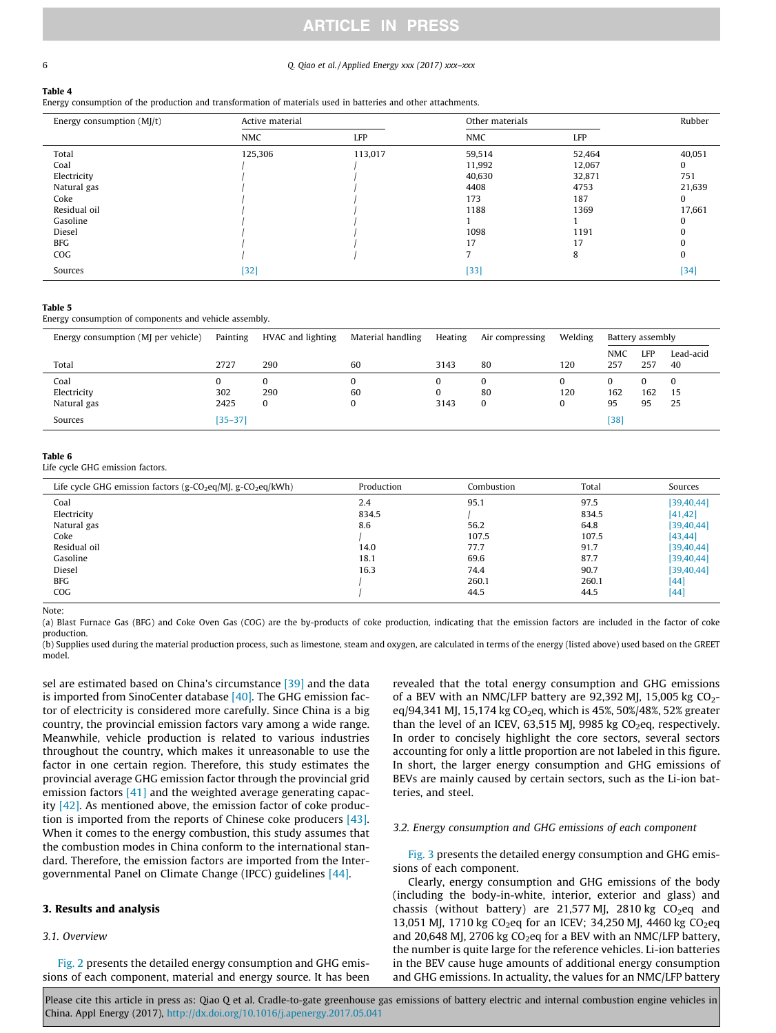### <span id="page-5-0"></span>6 Q. Qiao et al. / Applied Energy xxx (2017) xxx–xxx

#### Table 4

Energy consumption of the production and transformation of materials used in batteries and other attachments.

| Energy consumption $(MJ/t)$ | Active material |         | Other materials | Rubber |        |
|-----------------------------|-----------------|---------|-----------------|--------|--------|
|                             | NMC             | LFP     | NMC             | LFP    |        |
| Total                       | 125,306         | 113,017 | 59,514          | 52,464 | 40,051 |
| Coal                        |                 |         | 11,992          | 12,067 | 0      |
| Electricity                 |                 |         | 40,630          | 32,871 | 751    |
| Natural gas                 |                 |         | 4408            | 4753   | 21,639 |
| Coke                        |                 |         | 173             | 187    | 0      |
| Residual oil                |                 |         | 1188            | 1369   | 17,661 |
| Gasoline                    |                 |         |                 |        |        |
| Diesel                      |                 |         | 1098            | 1191   | 0      |
| BFG                         |                 |         | 17              | 17     |        |
| COG                         |                 |         |                 | 8      | 0      |
| Sources                     | $[32]$          |         | $[33]$          |        | $[34]$ |

### Table 5

Energy consumption of components and vehicle assembly.

| Energy consumption (MJ per vehicle) | Painting    | HVAC and lighting | Material handling | Heating   | Air compressing     | Welding |                   | Battery assembly  |                      |
|-------------------------------------|-------------|-------------------|-------------------|-----------|---------------------|---------|-------------------|-------------------|----------------------|
| Total                               | 2727        | 290               | 60                | 3143      | 80                  | 120     | <b>NMC</b><br>257 | <b>LFP</b><br>257 | Lead-acid<br>40      |
| Coal<br>Electricity<br>Natural gas  | 302<br>2425 | 0<br>290<br>0     | 0<br>60<br>0      | 0<br>3143 | $\bf{0}$<br>80<br>0 | 120     | 162<br>95         | 162<br>95         | $\Omega$<br>15<br>25 |
| Sources                             | $[35 - 37]$ |                   |                   |           |                     |         | [38]              |                   |                      |

#### Table 6

Life cycle GHG emission factors.

| Life cycle GHG emission factors $(g-CO_2eq/Ml, g-CO_2eq/kWh)$ | Production | Combustion | Total | Sources      |
|---------------------------------------------------------------|------------|------------|-------|--------------|
| Coal                                                          | 2.4        | 95.1       | 97.5  | [39, 40, 44] |
| Electricity                                                   | 834.5      |            | 834.5 | [41, 42]     |
| Natural gas                                                   | 8.6        | 56.2       | 64.8  | [39, 40, 44] |
| Coke                                                          |            | 107.5      | 107.5 | [43, 44]     |
| Residual oil                                                  | 14.0       | 77.7       | 91.7  | [39, 40, 44] |
| Gasoline                                                      | 18.1       | 69.6       | 87.7  | [39, 40, 44] |
| Diesel                                                        | 16.3       | 74.4       | 90.7  | [39, 40, 44] |
| <b>BFG</b>                                                    |            | 260.1      | 260.1 | [44]         |
| <b>COG</b>                                                    |            | 44.5       | 44.5  | [44]         |
|                                                               |            |            |       |              |

Note:

(a) Blast Furnace Gas (BFG) and Coke Oven Gas (COG) are the by-products of coke production, indicating that the emission factors are included in the factor of coke production.

(b) Supplies used during the material production process, such as limestone, steam and oxygen, are calculated in terms of the energy (listed above) used based on the GREET model.

sel are estimated based on China's circumstance [\[39\]](#page-11-0) and the data is imported from SinoCenter database [\[40\]](#page-11-0). The GHG emission factor of electricity is considered more carefully. Since China is a big country, the provincial emission factors vary among a wide range. Meanwhile, vehicle production is related to various industries throughout the country, which makes it unreasonable to use the factor in one certain region. Therefore, this study estimates the provincial average GHG emission factor through the provincial grid emission factors [\[41\]](#page-11-0) and the weighted average generating capacity [\[42\].](#page-11-0) As mentioned above, the emission factor of coke production is imported from the reports of Chinese coke producers [\[43\].](#page-11-0) When it comes to the energy combustion, this study assumes that the combustion modes in China conform to the international standard. Therefore, the emission factors are imported from the Intergovernmental Panel on Climate Change (IPCC) guidelines [\[44\].](#page-11-0)

# 3. Results and analysis

# 3.1. Overview

[Fig. 2](#page-6-0) presents the detailed energy consumption and GHG emissions of each component, material and energy source. It has been revealed that the total energy consumption and GHG emissions of a BEV with an NMC/LFP battery are 92,392 MJ, 15,005 kg  $CO<sub>2</sub>$ eq/94,341 MJ, 15,174 kg CO<sub>2</sub>eq, which is 45%, 50%/48%, 52% greater than the level of an ICEV, 63,515 MJ, 9985 kg  $CO<sub>2</sub>$ eq, respectively. In order to concisely highlight the core sectors, several sectors accounting for only a little proportion are not labeled in this figure. In short, the larger energy consumption and GHG emissions of BEVs are mainly caused by certain sectors, such as the Li-ion batteries, and steel.

# 3.2. Energy consumption and GHG emissions of each component

[Fig. 3](#page-7-0) presents the detailed energy consumption and GHG emissions of each component.

Clearly, energy consumption and GHG emissions of the body (including the body-in-white, interior, exterior and glass) and chassis (without battery) are 21,577 MJ, 2810 kg  $CO<sub>2</sub>$ eq and 13,051 MJ, 1710 kg CO<sub>2</sub>eq for an ICEV; 34,250 MJ, 4460 kg CO<sub>2</sub>eq and 20,648 MJ, 2706 kg  $CO<sub>2</sub>$ eq for a BEV with an NMC/LFP battery, the number is quite large for the reference vehicles. Li-ion batteries in the BEV cause huge amounts of additional energy consumption and GHG emissions. In actuality, the values for an NMC/LFP battery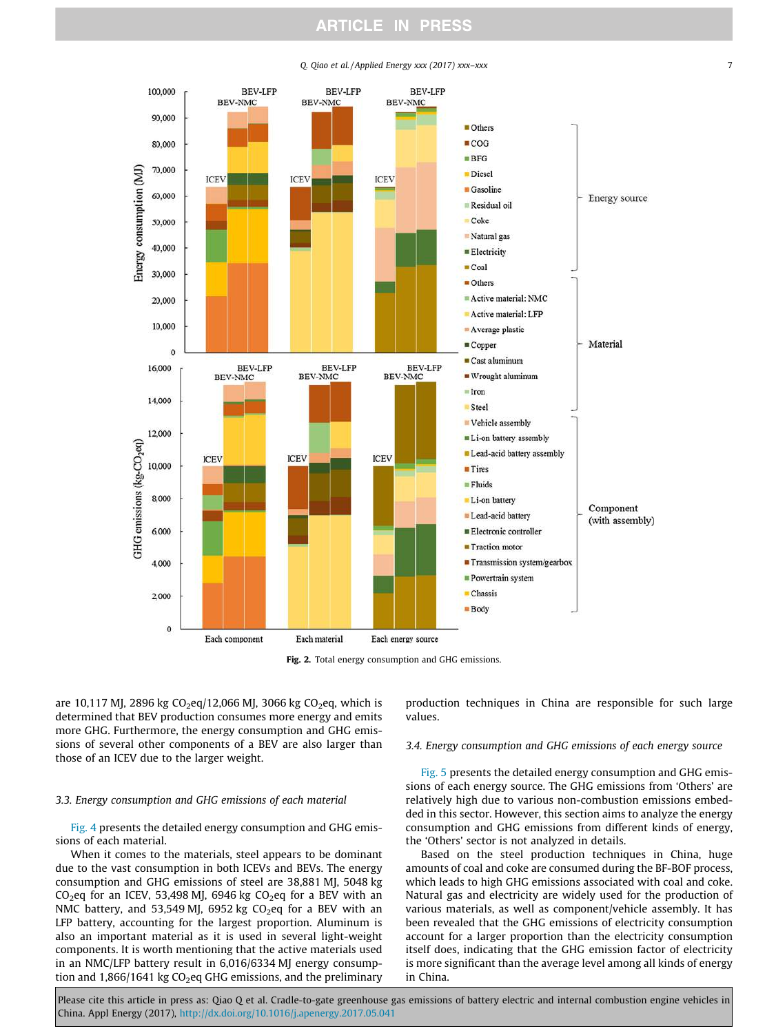Q. Qiao et al. / Applied Energy xxx (2017) xxx–xxx 7

<span id="page-6-0"></span>

Fig. 2. Total energy consumption and GHG emissions.

are 10,117 MJ, 2896 kg CO<sub>2</sub>eq/12,066 MJ, 3066 kg CO<sub>2</sub>eq, which is determined that BEV production consumes more energy and emits more GHG. Furthermore, the energy consumption and GHG emissions of several other components of a BEV are also larger than those of an ICEV due to the larger weight.

# 3.3. Energy consumption and GHG emissions of each material

[Fig. 4](#page-7-0) presents the detailed energy consumption and GHG emissions of each material.

When it comes to the materials, steel appears to be dominant due to the vast consumption in both ICEVs and BEVs. The energy consumption and GHG emissions of steel are 38,881 MJ, 5048 kg  $CO<sub>2</sub>$ eq for an ICEV, 53,498 MJ, 6946 kg  $CO<sub>2</sub>$ eq for a BEV with an NMC battery, and 53,549 MJ, 6952 kg  $CO<sub>2</sub>$ eq for a BEV with an LFP battery, accounting for the largest proportion. Aluminum is also an important material as it is used in several light-weight components. It is worth mentioning that the active materials used in an NMC/LFP battery result in 6,016/6334 MJ energy consumption and 1,866/1641 kg  $CO<sub>2</sub>$ eq GHG emissions, and the preliminary production techniques in China are responsible for such large values.

# 3.4. Energy consumption and GHG emissions of each energy source

[Fig. 5](#page-8-0) presents the detailed energy consumption and GHG emissions of each energy source. The GHG emissions from 'Others' are relatively high due to various non-combustion emissions embedded in this sector. However, this section aims to analyze the energy consumption and GHG emissions from different kinds of energy, the 'Others' sector is not analyzed in details.

Based on the steel production techniques in China, huge amounts of coal and coke are consumed during the BF-BOF process, which leads to high GHG emissions associated with coal and coke. Natural gas and electricity are widely used for the production of various materials, as well as component/vehicle assembly. It has been revealed that the GHG emissions of electricity consumption account for a larger proportion than the electricity consumption itself does, indicating that the GHG emission factor of electricity is more significant than the average level among all kinds of energy in China.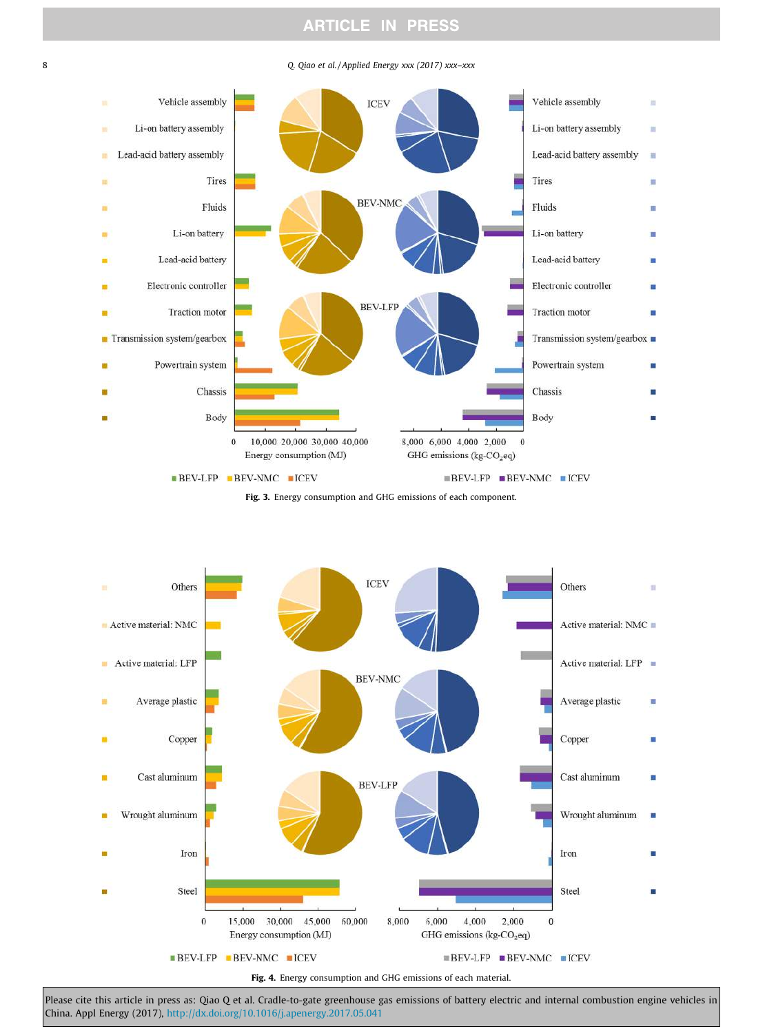### 8 Q. Qiao et al. / Applied Energy xxx (2017) xxx–xxx



Fig. 3. Energy consumption and GHG emissions of each component.



Fig. 4. Energy consumption and GHG emissions of each material.

<span id="page-7-0"></span>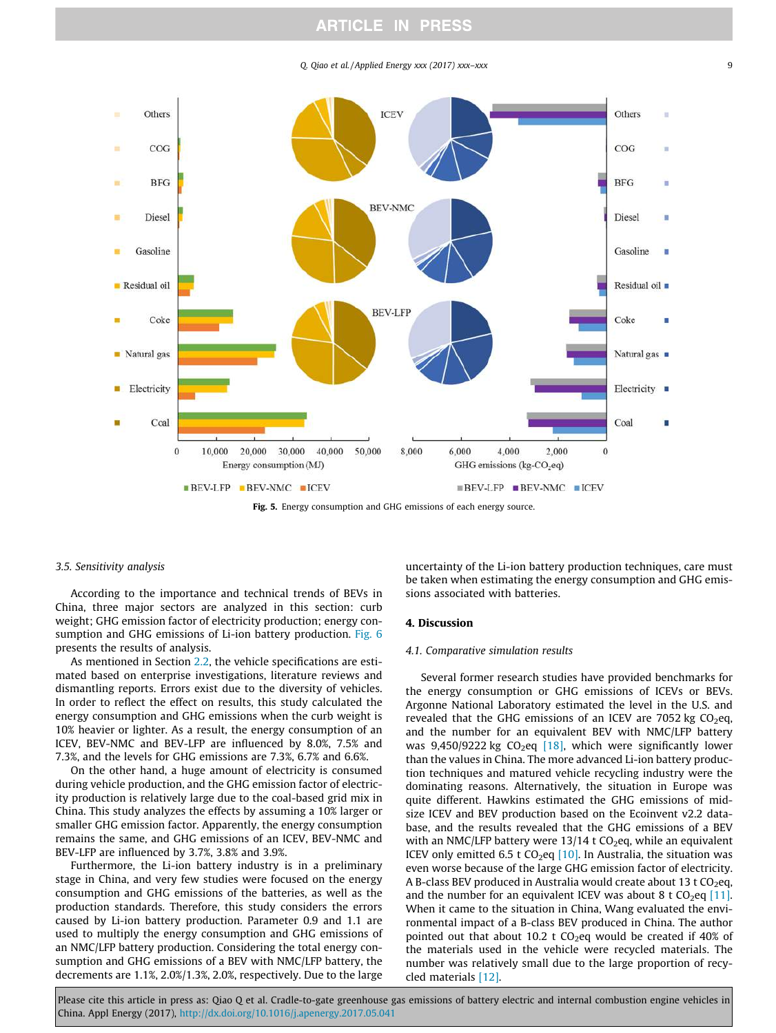Q. Qiao et al. / Applied Energy xxx (2017) xxx–xxx 9

<span id="page-8-0"></span>

Fig. 5. Energy consumption and GHG emissions of each energy source.

#### 3.5. Sensitivity analysis

According to the importance and technical trends of BEVs in China, three major sectors are analyzed in this section: curb weight; GHG emission factor of electricity production; energy con-sumption and GHG emissions of Li-ion battery production. [Fig. 6](#page-9-0) presents the results of analysis.

As mentioned in Section [2.2,](#page-2-0) the vehicle specifications are estimated based on enterprise investigations, literature reviews and dismantling reports. Errors exist due to the diversity of vehicles. In order to reflect the effect on results, this study calculated the energy consumption and GHG emissions when the curb weight is 10% heavier or lighter. As a result, the energy consumption of an ICEV, BEV-NMC and BEV-LFP are influenced by 8.0%, 7.5% and 7.3%, and the levels for GHG emissions are 7.3%, 6.7% and 6.6%.

On the other hand, a huge amount of electricity is consumed during vehicle production, and the GHG emission factor of electricity production is relatively large due to the coal-based grid mix in China. This study analyzes the effects by assuming a 10% larger or smaller GHG emission factor. Apparently, the energy consumption remains the same, and GHG emissions of an ICEV, BEV-NMC and BEV-LFP are influenced by 3.7%, 3.8% and 3.9%.

Furthermore, the Li-ion battery industry is in a preliminary stage in China, and very few studies were focused on the energy consumption and GHG emissions of the batteries, as well as the production standards. Therefore, this study considers the errors caused by Li-ion battery production. Parameter 0.9 and 1.1 are used to multiply the energy consumption and GHG emissions of an NMC/LFP battery production. Considering the total energy consumption and GHG emissions of a BEV with NMC/LFP battery, the decrements are 1.1%, 2.0%/1.3%, 2.0%, respectively. Due to the large uncertainty of the Li-ion battery production techniques, care must be taken when estimating the energy consumption and GHG emissions associated with batteries.

### 4. Discussion

# 4.1. Comparative simulation results

Several former research studies have provided benchmarks for the energy consumption or GHG emissions of ICEVs or BEVs. Argonne National Laboratory estimated the level in the U.S. and revealed that the GHG emissions of an ICEV are 7052 kg  $CO<sub>2</sub>$ eq, and the number for an equivalent BEV with NMC/LFP battery was 9,450/9222 kg CO<sub>2</sub>eq [\[18\],](#page-11-0) which were significantly lower than the values in China. The more advanced Li-ion battery production techniques and matured vehicle recycling industry were the dominating reasons. Alternatively, the situation in Europe was quite different. Hawkins estimated the GHG emissions of midsize ICEV and BEV production based on the Ecoinvent v2.2 database, and the results revealed that the GHG emissions of a BEV with an NMC/LFP battery were  $13/14$  t CO<sub>2</sub>eq, while an equivalent ICEV only emitted 6.5 t CO<sub>2</sub>eq  $[10]$ . In Australia, the situation was even worse because of the large GHG emission factor of electricity. A B-class BEV produced in Australia would create about 13 t  $CO<sub>2</sub>$ eq, and the number for an equivalent ICEV was about 8 t  $CO<sub>2</sub>$ eq [\[11\].](#page-11-0) When it came to the situation in China, Wang evaluated the environmental impact of a B-class BEV produced in China. The author pointed out that about 10.2 t  $CO<sub>2</sub>$ eq would be created if 40% of the materials used in the vehicle were recycled materials. The number was relatively small due to the large proportion of recycled materials [\[12\]](#page-11-0).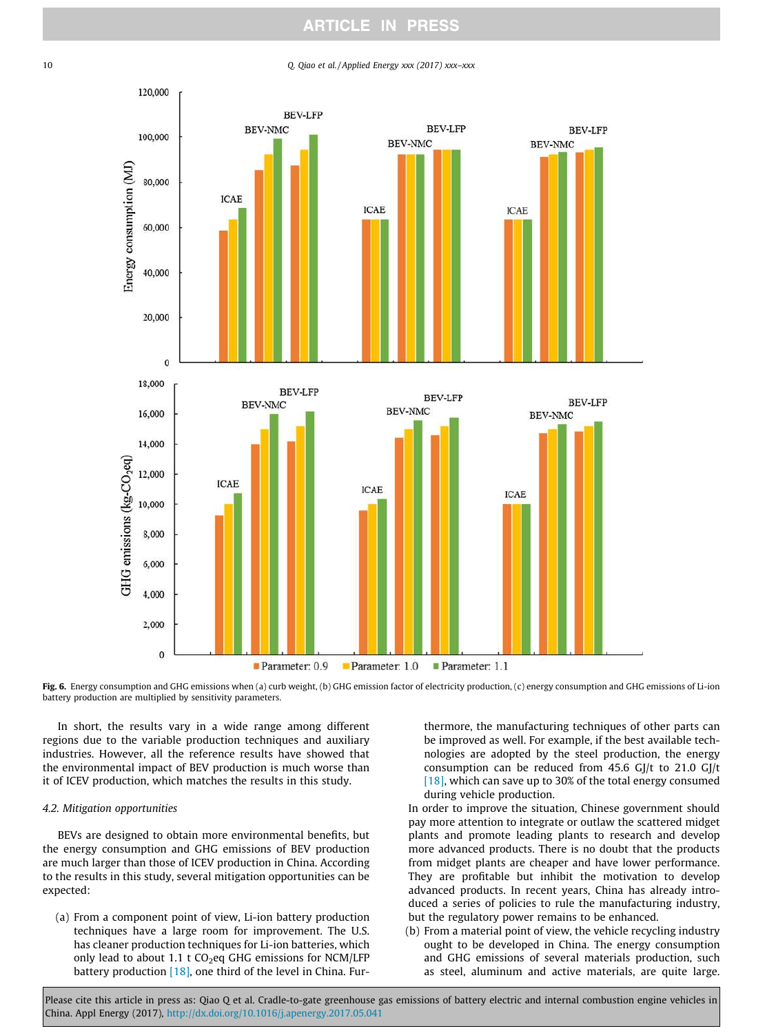<span id="page-9-0"></span>10 Q. Qiao et al. / Applied Energy xxx (2017) xxx–xxx



Fig. 6. Energy consumption and GHG emissions when (a) curb weight, (b) GHG emission factor of electricity production, (c) energy consumption and GHG emissions of Li-ion battery production are multiplied by sensitivity parameters.

In short, the results vary in a wide range among different regions due to the variable production techniques and auxiliary industries. However, all the reference results have showed that the environmental impact of BEV production is much worse than it of ICEV production, which matches the results in this study.

# 4.2. Mitigation opportunities

BEVs are designed to obtain more environmental benefits, but the energy consumption and GHG emissions of BEV production are much larger than those of ICEV production in China. According to the results in this study, several mitigation opportunities can be expected:

(a) From a component point of view, Li-ion battery production techniques have a large room for improvement. The U.S. has cleaner production techniques for Li-ion batteries, which only lead to about 1.1 t  $CO<sub>2</sub>$ eq GHG emissions for NCM/LFP battery production  $[18]$ , one third of the level in China. Furthermore, the manufacturing techniques of other parts can be improved as well. For example, if the best available technologies are adopted by the steel production, the energy consumption can be reduced from 45.6 GJ/t to 21.0 GJ/t [\[18\]](#page-11-0), which can save up to 30% of the total energy consumed during vehicle production.

In order to improve the situation, Chinese government should pay more attention to integrate or outlaw the scattered midget plants and promote leading plants to research and develop more advanced products. There is no doubt that the products from midget plants are cheaper and have lower performance. They are profitable but inhibit the motivation to develop advanced products. In recent years, China has already introduced a series of policies to rule the manufacturing industry, but the regulatory power remains to be enhanced.

(b) From a material point of view, the vehicle recycling industry ought to be developed in China. The energy consumption and GHG emissions of several materials production, such as steel, aluminum and active materials, are quite large.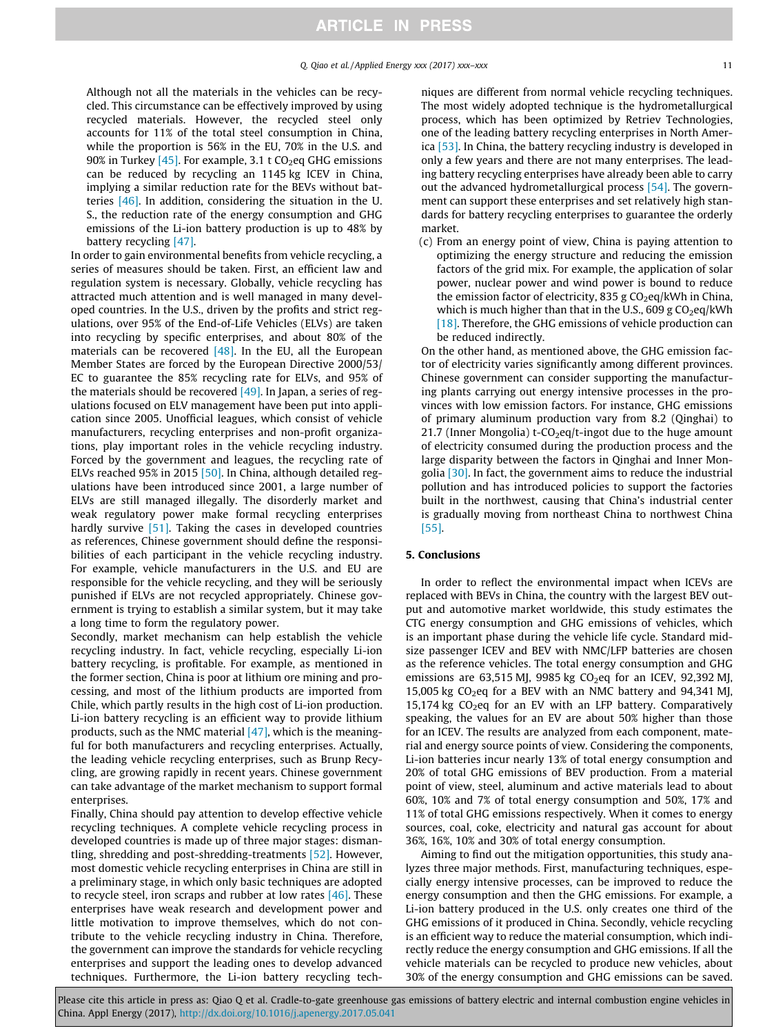Although not all the materials in the vehicles can be recycled. This circumstance can be effectively improved by using recycled materials. However, the recycled steel only accounts for 11% of the total steel consumption in China, while the proportion is 56% in the EU, 70% in the U.S. and 90% in Turkey  $[45]$ . For example, 3.1 t CO<sub>2</sub>eq GHG emissions can be reduced by recycling an 1145 kg ICEV in China, implying a similar reduction rate for the BEVs without batteries [\[46\]](#page-12-0). In addition, considering the situation in the U. S., the reduction rate of the energy consumption and GHG emissions of the Li-ion battery production is up to 48% by battery recycling [\[47\].](#page-12-0)

In order to gain environmental benefits from vehicle recycling, a series of measures should be taken. First, an efficient law and regulation system is necessary. Globally, vehicle recycling has attracted much attention and is well managed in many developed countries. In the U.S., driven by the profits and strict regulations, over 95% of the End-of-Life Vehicles (ELVs) are taken into recycling by specific enterprises, and about 80% of the materials can be recovered  $[48]$ . In the EU, all the European Member States are forced by the European Directive 2000/53/ EC to guarantee the 85% recycling rate for ELVs, and 95% of the materials should be recovered  $[49]$ . In Japan, a series of regulations focused on ELV management have been put into application since 2005. Unofficial leagues, which consist of vehicle manufacturers, recycling enterprises and non-profit organizations, play important roles in the vehicle recycling industry. Forced by the government and leagues, the recycling rate of ELVs reached 95% in 2015 [\[50\].](#page-12-0) In China, although detailed regulations have been introduced since 2001, a large number of ELVs are still managed illegally. The disorderly market and weak regulatory power make formal recycling enterprises hardly survive [\[51\].](#page-12-0) Taking the cases in developed countries as references, Chinese government should define the responsibilities of each participant in the vehicle recycling industry. For example, vehicle manufacturers in the U.S. and EU are responsible for the vehicle recycling, and they will be seriously punished if ELVs are not recycled appropriately. Chinese government is trying to establish a similar system, but it may take a long time to form the regulatory power.

Secondly, market mechanism can help establish the vehicle recycling industry. In fact, vehicle recycling, especially Li-ion battery recycling, is profitable. For example, as mentioned in the former section, China is poor at lithium ore mining and processing, and most of the lithium products are imported from Chile, which partly results in the high cost of Li-ion production. Li-ion battery recycling is an efficient way to provide lithium products, such as the NMC material  $[47]$ , which is the meaningful for both manufacturers and recycling enterprises. Actually, the leading vehicle recycling enterprises, such as Brunp Recycling, are growing rapidly in recent years. Chinese government can take advantage of the market mechanism to support formal enterprises.

Finally, China should pay attention to develop effective vehicle recycling techniques. A complete vehicle recycling process in developed countries is made up of three major stages: dismantling, shredding and post-shredding-treatments [\[52\]](#page-12-0). However, most domestic vehicle recycling enterprises in China are still in a preliminary stage, in which only basic techniques are adopted to recycle steel, iron scraps and rubber at low rates  $[46]$ . These enterprises have weak research and development power and little motivation to improve themselves, which do not contribute to the vehicle recycling industry in China. Therefore, the government can improve the standards for vehicle recycling enterprises and support the leading ones to develop advanced techniques. Furthermore, the Li-ion battery recycling techniques are different from normal vehicle recycling techniques. The most widely adopted technique is the hydrometallurgical process, which has been optimized by Retriev Technologies, one of the leading battery recycling enterprises in North America [\[53\].](#page-12-0) In China, the battery recycling industry is developed in only a few years and there are not many enterprises. The leading battery recycling enterprises have already been able to carry out the advanced hydrometallurgical process [\[54\].](#page-12-0) The government can support these enterprises and set relatively high standards for battery recycling enterprises to guarantee the orderly market.

(c) From an energy point of view, China is paying attention to optimizing the energy structure and reducing the emission factors of the grid mix. For example, the application of solar power, nuclear power and wind power is bound to reduce the emission factor of electricity, 835 g  $CO<sub>2</sub>$ eq/kWh in China, which is much higher than that in the U.S., 609 g  $CO<sub>2</sub>eq/kWh$ [\[18\].](#page-11-0) Therefore, the GHG emissions of vehicle production can be reduced indirectly.

On the other hand, as mentioned above, the GHG emission factor of electricity varies significantly among different provinces. Chinese government can consider supporting the manufacturing plants carrying out energy intensive processes in the provinces with low emission factors. For instance, GHG emissions of primary aluminum production vary from 8.2 (Qinghai) to 21.7 (Inner Mongolia) t-CO<sub>2</sub>eq/t-ingot due to the huge amount of electricity consumed during the production process and the large disparity between the factors in Qinghai and Inner Mongolia [\[30\]](#page-11-0). In fact, the government aims to reduce the industrial pollution and has introduced policies to support the factories built in the northwest, causing that China's industrial center is gradually moving from northeast China to northwest China [\[55\].](#page-12-0)

# 5. Conclusions

In order to reflect the environmental impact when ICEVs are replaced with BEVs in China, the country with the largest BEV output and automotive market worldwide, this study estimates the CTG energy consumption and GHG emissions of vehicles, which is an important phase during the vehicle life cycle. Standard midsize passenger ICEV and BEV with NMC/LFP batteries are chosen as the reference vehicles. The total energy consumption and GHG emissions are 63,515 MJ, 9985 kg  $CO<sub>2</sub>$ eq for an ICEV, 92,392 MJ, 15,005 kg CO<sub>2</sub>eq for a BEV with an NMC battery and 94,341 MJ, 15,174 kg  $CO<sub>2</sub>$ eq for an EV with an LFP battery. Comparatively speaking, the values for an EV are about 50% higher than those for an ICEV. The results are analyzed from each component, material and energy source points of view. Considering the components, Li-ion batteries incur nearly 13% of total energy consumption and 20% of total GHG emissions of BEV production. From a material point of view, steel, aluminum and active materials lead to about 60%, 10% and 7% of total energy consumption and 50%, 17% and 11% of total GHG emissions respectively. When it comes to energy sources, coal, coke, electricity and natural gas account for about 36%, 16%, 10% and 30% of total energy consumption.

Aiming to find out the mitigation opportunities, this study analyzes three major methods. First, manufacturing techniques, especially energy intensive processes, can be improved to reduce the energy consumption and then the GHG emissions. For example, a Li-ion battery produced in the U.S. only creates one third of the GHG emissions of it produced in China. Secondly, vehicle recycling is an efficient way to reduce the material consumption, which indirectly reduce the energy consumption and GHG emissions. If all the vehicle materials can be recycled to produce new vehicles, about 30% of the energy consumption and GHG emissions can be saved.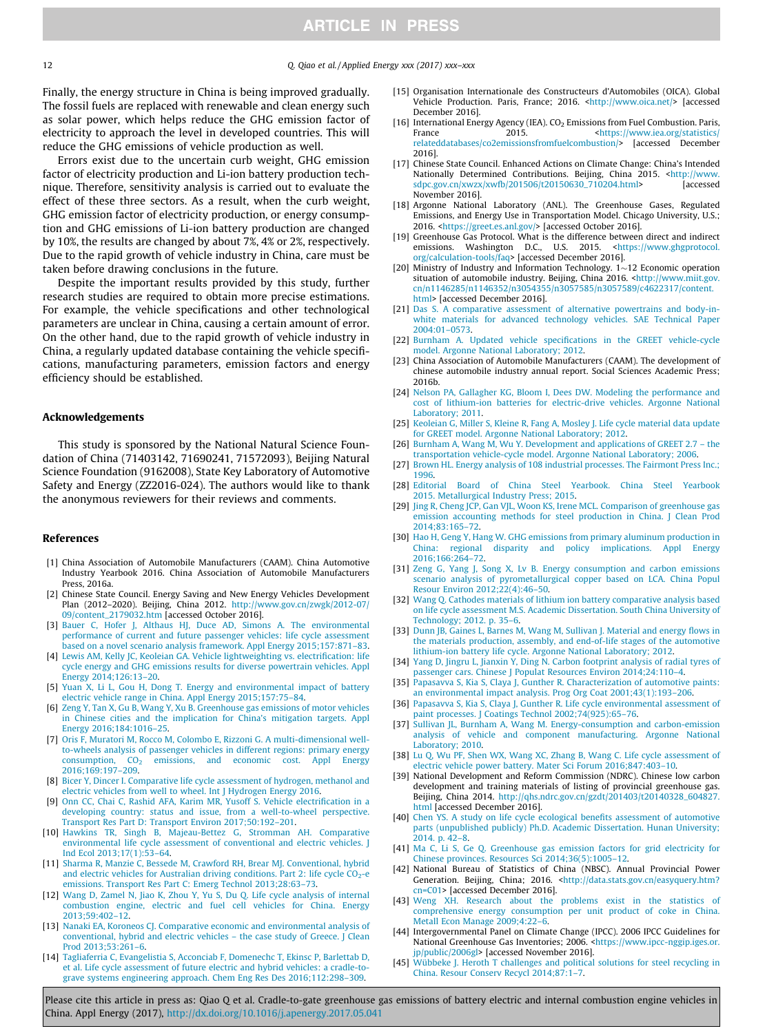<span id="page-11-0"></span>12 Q. Qiao et al. / Applied Energy xxx (2017) xxx–xxx

Finally, the energy structure in China is being improved gradually. The fossil fuels are replaced with renewable and clean energy such as solar power, which helps reduce the GHG emission factor of electricity to approach the level in developed countries. This will reduce the GHG emissions of vehicle production as well.

Errors exist due to the uncertain curb weight, GHG emission factor of electricity production and Li-ion battery production technique. Therefore, sensitivity analysis is carried out to evaluate the effect of these three sectors. As a result, when the curb weight, GHG emission factor of electricity production, or energy consumption and GHG emissions of Li-ion battery production are changed by 10%, the results are changed by about 7%, 4% or 2%, respectively. Due to the rapid growth of vehicle industry in China, care must be taken before drawing conclusions in the future.

Despite the important results provided by this study, further research studies are required to obtain more precise estimations. For example, the vehicle specifications and other technological parameters are unclear in China, causing a certain amount of error. On the other hand, due to the rapid growth of vehicle industry in China, a regularly updated database containing the vehicle specifications, manufacturing parameters, emission factors and energy efficiency should be established.

### Acknowledgements

This study is sponsored by the National Natural Science Foundation of China (71403142, 71690241, 71572093), Beijing Natural Science Foundation (9162008), State Key Laboratory of Automotive Safety and Energy (ZZ2016-024). The authors would like to thank the anonymous reviewers for their reviews and comments.

#### References

- [1] China Association of Automobile Manufacturers (CAAM). China Automotive Industry Yearbook 2016. China Association of Automobile Manufacturers Press, 2016a.
- [2] Chinese State Council. Energy Saving and New Energy Vehicles Development Plan (2012–2020). Beijing, China 2012. [http://www.gov.cn/zwgk/2012-07/](http://www.gov.cn/zwgk/2012-07/09/content_2179032.htm) [09/content\\_2179032.htm](http://www.gov.cn/zwgk/2012-07/09/content_2179032.htm) [accessed October 2016].
- [3] [Bauer C, Hofer J, Althaus HJ, Duce AD, Simons A. The environmental](http://refhub.elsevier.com/S0306-2619(17)30543-3/h0015) [performance of current and future passenger vehicles: life cycle assessment](http://refhub.elsevier.com/S0306-2619(17)30543-3/h0015) [based on a novel scenario analysis framework. Appl Energy 2015;157:871–83](http://refhub.elsevier.com/S0306-2619(17)30543-3/h0015).
- [4] [Lewis AM, Kelly JC, Keoleian GA. Vehicle lightweighting vs. electrification: life](http://refhub.elsevier.com/S0306-2619(17)30543-3/h0020) [cycle energy and GHG emissions results for diverse powertrain vehicles. Appl](http://refhub.elsevier.com/S0306-2619(17)30543-3/h0020) [Energy 2014;126:13–20.](http://refhub.elsevier.com/S0306-2619(17)30543-3/h0020)
- [5] [Yuan X, Li L, Gou H, Dong T. Energy and environmental impact of battery](http://refhub.elsevier.com/S0306-2619(17)30543-3/h0025) [electric vehicle range in China. Appl Energy 2015;157:75–84](http://refhub.elsevier.com/S0306-2619(17)30543-3/h0025).
- [6] [Zeng Y, Tan X, Gu B, Wang Y, Xu B. Greenhouse gas emissions of motor vehicles](http://refhub.elsevier.com/S0306-2619(17)30543-3/h0030) [in Chinese cities and the implication for China's mitigation targets. Appl](http://refhub.elsevier.com/S0306-2619(17)30543-3/h0030) [Energy 2016;184:1016–25.](http://refhub.elsevier.com/S0306-2619(17)30543-3/h0030)
- [7] [Oris F, Muratori M, Rocco M, Colombo E, Rizzoni G. A multi-dimensional well](http://refhub.elsevier.com/S0306-2619(17)30543-3/h0035)[to-wheels analysis of passenger vehicles in different regions: primary energy](http://refhub.elsevier.com/S0306-2619(17)30543-3/h0035) consumption,  $CO<sub>2</sub>$  emissions, and economic cost. Appl Energy [emissions, and economic cost. Appl Energy](http://refhub.elsevier.com/S0306-2619(17)30543-3/h0035) [2016;169:197–209.](http://refhub.elsevier.com/S0306-2619(17)30543-3/h0035)
- [8] [Bicer Y, Dincer I. Comparative life cycle assessment of hydrogen, methanol and](http://refhub.elsevier.com/S0306-2619(17)30543-3/h0040) [electric vehicles from well to wheel. Int J Hydrogen Energy 2016](http://refhub.elsevier.com/S0306-2619(17)30543-3/h0040).
- [9] [Onn CC, Chai C, Rashid AFA, Karim MR, Yusoff S. Vehicle electrification in a](http://refhub.elsevier.com/S0306-2619(17)30543-3/h0045) [developing country: status and issue, from a well-to-wheel perspective.](http://refhub.elsevier.com/S0306-2619(17)30543-3/h0045) [Transport Res Part D: Transport Environ 2017;50:192–201](http://refhub.elsevier.com/S0306-2619(17)30543-3/h0045).
- [10] [Hawkins TR, Singh B, Majeau-Bettez G, Stromman AH. Comparative](http://refhub.elsevier.com/S0306-2619(17)30543-3/h0050) [environmental life cycle assessment of conventional and electric vehicles. J](http://refhub.elsevier.com/S0306-2619(17)30543-3/h0050) [Ind Ecol 2013;17\(1\):53–64](http://refhub.elsevier.com/S0306-2619(17)30543-3/h0050).
- [11] [Sharma R, Manzie C, Bessede M, Crawford RH, Brear MJ. Conventional, hybrid](http://refhub.elsevier.com/S0306-2619(17)30543-3/h0055) and electric vehicles for Australian driving conditions. Part 2: life cycle  $CO<sub>2</sub>$ -e [emissions. Transport Res Part C: Emerg Technol 2013;28:63–73](http://refhub.elsevier.com/S0306-2619(17)30543-3/h0055).
- [12] [Wang D, Zamel N, Jiao K, Zhou Y, Yu S, Du Q. Life cycle analysis of internal](http://refhub.elsevier.com/S0306-2619(17)30543-3/h0060) [combustion engine, electric and fuel cell vehicles for China. Energy](http://refhub.elsevier.com/S0306-2619(17)30543-3/h0060) [2013;59:402–12.](http://refhub.elsevier.com/S0306-2619(17)30543-3/h0060)
- [13] [Nanaki EA, Koroneos CJ. Comparative economic and environmental analysis of](http://refhub.elsevier.com/S0306-2619(17)30543-3/h0065) [conventional, hybrid and electric vehicles – the case study of Greece. J Clean](http://refhub.elsevier.com/S0306-2619(17)30543-3/h0065) [Prod 2013;53:261–6.](http://refhub.elsevier.com/S0306-2619(17)30543-3/h0065)
- [14] [Tagliaferria C, Evangelistia S, Acconciab F, Domenechc T, Ekinsc P, Barlettab D,](http://refhub.elsevier.com/S0306-2619(17)30543-3/h0070) [et al. Life cycle assessment of future electric and hybrid vehicles: a cradle-to](http://refhub.elsevier.com/S0306-2619(17)30543-3/h0070)[grave systems engineering approach. Chem Eng Res Des 2016;112:298–309](http://refhub.elsevier.com/S0306-2619(17)30543-3/h0070).
- [15] Organisation Internationale des Constructeurs d'Automobiles (OICA). Global Vehicle Production. Paris, France; 2016. <[http://www.oica.net/>](http://www.oica.net/) [accessed December 2016].
- [16] International Energy Agency (IEA). CO<sub>2</sub> Emissions from Fuel Combustion. Paris,<br>
France 2015<br>
Shttps://www.jea.org/statistics/ France 2015. Altrps://www.iea.org/statistics/ [relateddatabases/co2emissionsfromfuelcombustion/](https://www.iea.org/statistics/relateddatabases/co2emissionsfromfuelcombustion/)> [accessed December 2016].
- [17] Chinese State Council. Enhanced Actions on Climate Change: China's Intended Nationally Determined Contributions. Beijing, China 2015. <[http://www.](http://www.sdpc.gov.cn/xwzx/xwfb/201506/t20150630_710204.html) [sdpc.gov.cn/xwzx/xwfb/201506/t20150630\\_710204.html](http://www.sdpc.gov.cn/xwzx/xwfb/201506/t20150630_710204.html)> [accessed November 2016].
- [18] Argonne National Laboratory (ANL). The Greenhouse Gases, Regulated Emissions, and Energy Use in Transportation Model. Chicago University, U.S.; 2016. <<https://greet.es.anl.gov/>> [accessed October 2016].
- [19] Greenhouse Gas Protocol. What is the difference between direct and indirect emissions. Washington D.C., U.S. 2015. <[https://www.ghgprotocol.](https://www.ghgprotocol.org/calculation-tools/faq) [org/calculation-tools/faq>](https://www.ghgprotocol.org/calculation-tools/faq) [accessed December 2016].
- [20] Ministry of Industry and Information Technology.  $1 \sim 12$  Economic operation situation of automobile industry. Beijing, China 2016. [<http://www.miit.gov.](http://www.miit.gov.cn/n1146285/n1146352/n3054355/n3057585/n3057589/c4622317/content.html) [cn/n1146285/n1146352/n3054355/n3057585/n3057589/c4622317/content.](http://www.miit.gov.cn/n1146285/n1146352/n3054355/n3057585/n3057589/c4622317/content.html) [html>](http://www.miit.gov.cn/n1146285/n1146352/n3054355/n3057585/n3057589/c4622317/content.html) [accessed December 2016].
- [21] [Das S. A comparative assessment of alternative powertrains and body-in](http://refhub.elsevier.com/S0306-2619(17)30543-3/h0105)[white materials for advanced technology vehicles. SAE Technical Paper](http://refhub.elsevier.com/S0306-2619(17)30543-3/h0105) [2004:01–0573](http://refhub.elsevier.com/S0306-2619(17)30543-3/h0105).
- [22] [Burnham A. Updated vehicle specifications in the GREET vehicle-cycle](http://refhub.elsevier.com/S0306-2619(17)30543-3/h0110) [model. Argonne National Laboratory; 2012.](http://refhub.elsevier.com/S0306-2619(17)30543-3/h0110)
- [23] China Association of Automobile Manufacturers (CAAM). The development of chinese automobile industry annual report. Social Sciences Academic Press; 2016b.
- [24] [Nelson PA, Gallagher KG, Bloom I, Dees DW. Modeling the performance and](http://refhub.elsevier.com/S0306-2619(17)30543-3/h0120) [cost of lithium-ion batteries for electric-drive vehicles. Argonne National](http://refhub.elsevier.com/S0306-2619(17)30543-3/h0120) [Laboratory; 2011.](http://refhub.elsevier.com/S0306-2619(17)30543-3/h0120)
- [25] [Keoleian G, Miller S, Kleine R, Fang A, Mosley J. Life cycle material data update](http://refhub.elsevier.com/S0306-2619(17)30543-3/h0125) [for GREET model. Argonne National Laboratory; 2012](http://refhub.elsevier.com/S0306-2619(17)30543-3/h0125).
- [26] [Burnham A, Wang M, Wu Y. Development and applications of GREET 2.7 the](http://refhub.elsevier.com/S0306-2619(17)30543-3/h0130) [transportation vehicle-cycle model. Argonne National Laboratory; 2006.](http://refhub.elsevier.com/S0306-2619(17)30543-3/h0130)
- [27] [Brown HL. Energy analysis of 108 industrial processes. The Fairmont Press Inc.;](http://refhub.elsevier.com/S0306-2619(17)30543-3/h0135) [1996.](http://refhub.elsevier.com/S0306-2619(17)30543-3/h0135)
- [28] [Editorial Board of China Steel Yearbook. China Steel Yearbook](http://refhub.elsevier.com/S0306-2619(17)30543-3/h0140) [2015. Metallurgical Industry Press; 2015](http://refhub.elsevier.com/S0306-2619(17)30543-3/h0140).
- [29] [Jing R, Cheng JCP, Gan VJL, Woon KS, Irene MCL. Comparison of greenhouse gas](http://refhub.elsevier.com/S0306-2619(17)30543-3/h0145) [emission accounting methods for steel production in China. J Clean Prod](http://refhub.elsevier.com/S0306-2619(17)30543-3/h0145) [2014;83:165–72.](http://refhub.elsevier.com/S0306-2619(17)30543-3/h0145)
- [30] [Hao H, Geng Y, Hang W. GHG emissions from primary aluminum production in](http://refhub.elsevier.com/S0306-2619(17)30543-3/h0150) [China: regional disparity and policy implications. Appl Energy](http://refhub.elsevier.com/S0306-2619(17)30543-3/h0150) [2016;166:264–72](http://refhub.elsevier.com/S0306-2619(17)30543-3/h0150).
- [31] Zeng G, Yang J, Song X, Ly B. Energy consumption and carbon emissions [scenario analysis of pyrometallurgical copper based on LCA. China Popul](http://refhub.elsevier.com/S0306-2619(17)30543-3/h0155) [Resour Environ 2012;22\(4\):46–50.](http://refhub.elsevier.com/S0306-2619(17)30543-3/h0155)
- [32] [Wang Q. Cathodes materials of lithium ion battery comparative analysis based](http://refhub.elsevier.com/S0306-2619(17)30543-3/h0160) [on life cycle assessment M.S. Academic Dissertation. South China University of](http://refhub.elsevier.com/S0306-2619(17)30543-3/h0160) [Technology; 2012. p. 35–6](http://refhub.elsevier.com/S0306-2619(17)30543-3/h0160).
- [33] [Dunn JB, Gaines L, Barnes M, Wang M, Sullivan J. Material and energy flows in](http://refhub.elsevier.com/S0306-2619(17)30543-3/h0165) [the materials production, assembly, and end-of-life stages of the automotive](http://refhub.elsevier.com/S0306-2619(17)30543-3/h0165) [lithium-ion battery life cycle. Argonne National Laboratory; 2012](http://refhub.elsevier.com/S0306-2619(17)30543-3/h0165).
- [34] [Yang D, Jingru L, Jianxin Y, Ding N. Carbon footprint analysis of radial tyres of](http://refhub.elsevier.com/S0306-2619(17)30543-3/h0170) [passenger cars. Chinese J Populat Resources Environ 2014;24:110–4.](http://refhub.elsevier.com/S0306-2619(17)30543-3/h0170)
- [35] [Papasavva S, Kia S, Claya J, Gunther R. Characterization of automotive paints:](http://refhub.elsevier.com/S0306-2619(17)30543-3/h0175) [an environmental impact analysis. Prog Org Coat 2001;43\(1\):193–206](http://refhub.elsevier.com/S0306-2619(17)30543-3/h0175). [36] [Papasavva S, Kia S, Claya J, Gunther R. Life cycle environmental assessment of](http://refhub.elsevier.com/S0306-2619(17)30543-3/h0180)
- [paint processes. J Coatings Technol 2002;74\(925\):65–76.](http://refhub.elsevier.com/S0306-2619(17)30543-3/h0180)
- [37] [Sullivan JL, Burnham A, Wang M. Energy-consumption and carbon-emission](http://refhub.elsevier.com/S0306-2619(17)30543-3/h0185) [analysis of vehicle and component manufacturing. Argonne National](http://refhub.elsevier.com/S0306-2619(17)30543-3/h0185) [Laboratory; 2010.](http://refhub.elsevier.com/S0306-2619(17)30543-3/h0185)
- [38] [Lu Q, Wu PF, Shen WX, Wang XC, Zhang B, Wang C. Life cycle assessment of](http://refhub.elsevier.com/S0306-2619(17)30543-3/h0190) [electric vehicle power battery. Mater Sci Forum 2016;847:403–10.](http://refhub.elsevier.com/S0306-2619(17)30543-3/h0190)
- [39] National Development and Reform Commission (NDRC). Chinese low carbon development and training materials of listing of provincial greenhouse gas. Beijing, China 2014. [http://qhs.ndrc.gov.cn/gzdt/201403/t20140328\\_604827.](http://qhs.ndrc.gov.cn/gzdt/201403/t20140328_604827.html) [html](http://qhs.ndrc.gov.cn/gzdt/201403/t20140328_604827.html) [accessed December 2016].
- [40] [Chen YS. A study on life cycle ecological benefits assessment of automotive](http://refhub.elsevier.com/S0306-2619(17)30543-3/h0200) [parts \(unpublished publicly\) Ph.D. Academic Dissertation. Hunan University;](http://refhub.elsevier.com/S0306-2619(17)30543-3/h0200) [2014. p. 42–8.](http://refhub.elsevier.com/S0306-2619(17)30543-3/h0200)
- [41] [Ma C, Li S, Ge Q. Greenhouse gas emission factors for grid electricity for](http://refhub.elsevier.com/S0306-2619(17)30543-3/h0205) [Chinese provinces. Resources Sci 2014;36\(5\):1005–12](http://refhub.elsevier.com/S0306-2619(17)30543-3/h0205).
- [42] National Bureau of Statistics of China (NBSC). Annual Provincial Power Generation. Beijing, China; 2016. [<http://data.stats.gov.cn/easyquery.htm?](http://data.stats.gov.cn/easyquery.htm?cn=C01) [cn=C01>](http://data.stats.gov.cn/easyquery.htm?cn=C01) [accessed December 2016].
- [43] [Weng XH. Research about the problems exist in the statistics of](http://refhub.elsevier.com/S0306-2619(17)30543-3/h0215) [comprehensive energy consumption per unit product of coke in China.](http://refhub.elsevier.com/S0306-2619(17)30543-3/h0215) [Metall Econ Manage 2009;4:22–6](http://refhub.elsevier.com/S0306-2619(17)30543-3/h0215).
- [44] Intergovernmental Panel on Climate Change (IPCC). 2006 IPCC Guidelines for National Greenhouse Gas Inventories; 2006. [<https://www.ipcc-nggip.iges.or.](https://www.ipcc-nggip.iges.or.jp/public/2006gl) [jp/public/2006gl](https://www.ipcc-nggip.iges.or.jp/public/2006gl)> [accessed November 2016].
- [45] [Wübbeke J. Heroth T challenges and political solutions for steel recycling in](http://refhub.elsevier.com/S0306-2619(17)30543-3/h0225) [China. Resour Conserv Recycl 2014;87:1–7.](http://refhub.elsevier.com/S0306-2619(17)30543-3/h0225)